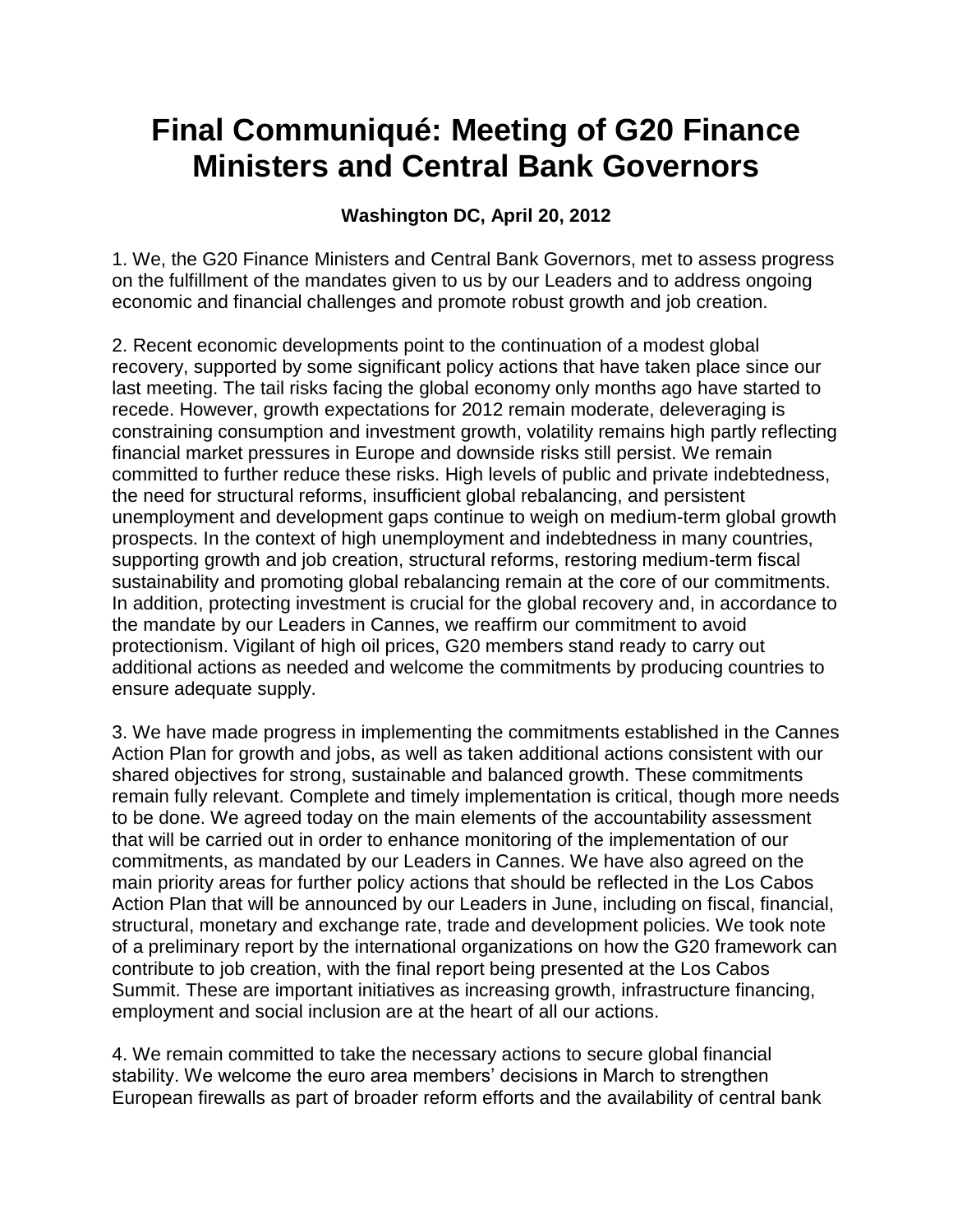## **Final Communiqué: Meeting of G20 Finance Ministers and Central Bank Governors**

## **Washington DC, April 20, 2012**

1. We, the G20 Finance Ministers and Central Bank Governors, met to assess progress on the fulfillment of the mandates given to us by our Leaders and to address ongoing economic and financial challenges and promote robust growth and job creation.

2. Recent economic developments point to the continuation of a modest global recovery, supported by some significant policy actions that have taken place since our last meeting. The tail risks facing the global economy only months ago have started to recede. However, growth expectations for 2012 remain moderate, deleveraging is constraining consumption and investment growth, volatility remains high partly reflecting financial market pressures in Europe and downside risks still persist. We remain committed to further reduce these risks. High levels of public and private indebtedness, the need for structural reforms, insufficient global rebalancing, and persistent unemployment and development gaps continue to weigh on medium-term global growth prospects. In the context of high unemployment and indebtedness in many countries, supporting growth and job creation, structural reforms, restoring medium-term fiscal sustainability and promoting global rebalancing remain at the core of our commitments. In addition, protecting investment is crucial for the global recovery and, in accordance to the mandate by our Leaders in Cannes, we reaffirm our commitment to avoid protectionism. Vigilant of high oil prices, G20 members stand ready to carry out additional actions as needed and welcome the commitments by producing countries to ensure adequate supply.

3. We have made progress in implementing the commitments established in the Cannes Action Plan for growth and jobs, as well as taken additional actions consistent with our shared objectives for strong, sustainable and balanced growth. These commitments remain fully relevant. Complete and timely implementation is critical, though more needs to be done. We agreed today on the main elements of the accountability assessment that will be carried out in order to enhance monitoring of the implementation of our commitments, as mandated by our Leaders in Cannes. We have also agreed on the main priority areas for further policy actions that should be reflected in the Los Cabos Action Plan that will be announced by our Leaders in June, including on fiscal, financial, structural, monetary and exchange rate, trade and development policies. We took note of a preliminary report by the international organizations on how the G20 framework can contribute to job creation, with the final report being presented at the Los Cabos Summit. These are important initiatives as increasing growth, infrastructure financing, employment and social inclusion are at the heart of all our actions.

4. We remain committed to take the necessary actions to secure global financial stability. We welcome the euro area members' decisions in March to strengthen European firewalls as part of broader reform efforts and the availability of central bank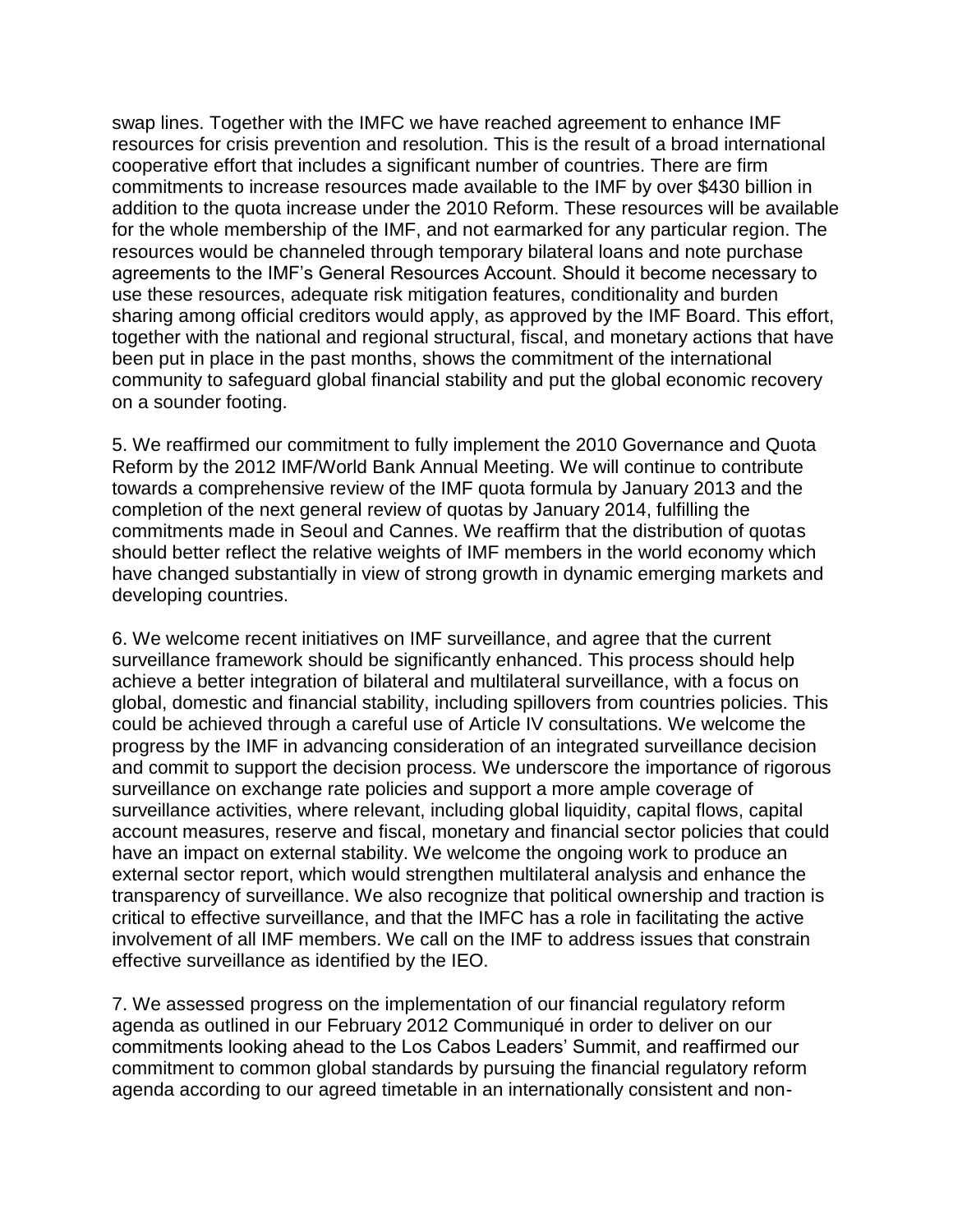swap lines. Together with the IMFC we have reached agreement to enhance IMF resources for crisis prevention and resolution. This is the result of a broad international cooperative effort that includes a significant number of countries. There are firm commitments to increase resources made available to the IMF by over \$430 billion in addition to the quota increase under the 2010 Reform. These resources will be available for the whole membership of the IMF, and not earmarked for any particular region. The resources would be channeled through temporary bilateral loans and note purchase agreements to the IMF's General Resources Account. Should it become necessary to use these resources, adequate risk mitigation features, conditionality and burden sharing among official creditors would apply, as approved by the IMF Board. This effort, together with the national and regional structural, fiscal, and monetary actions that have been put in place in the past months, shows the commitment of the international community to safeguard global financial stability and put the global economic recovery on a sounder footing.

5. We reaffirmed our commitment to fully implement the 2010 Governance and Quota Reform by the 2012 IMF/World Bank Annual Meeting. We will continue to contribute towards a comprehensive review of the IMF quota formula by January 2013 and the completion of the next general review of quotas by January 2014, fulfilling the commitments made in Seoul and Cannes. We reaffirm that the distribution of quotas should better reflect the relative weights of IMF members in the world economy which have changed substantially in view of strong growth in dynamic emerging markets and developing countries.

6. We welcome recent initiatives on IMF surveillance, and agree that the current surveillance framework should be significantly enhanced. This process should help achieve a better integration of bilateral and multilateral surveillance, with a focus on global, domestic and financial stability, including spillovers from countries policies. This could be achieved through a careful use of Article IV consultations. We welcome the progress by the IMF in advancing consideration of an integrated surveillance decision and commit to support the decision process. We underscore the importance of rigorous surveillance on exchange rate policies and support a more ample coverage of surveillance activities, where relevant, including global liquidity, capital flows, capital account measures, reserve and fiscal, monetary and financial sector policies that could have an impact on external stability. We welcome the ongoing work to produce an external sector report, which would strengthen multilateral analysis and enhance the transparency of surveillance. We also recognize that political ownership and traction is critical to effective surveillance, and that the IMFC has a role in facilitating the active involvement of all IMF members. We call on the IMF to address issues that constrain effective surveillance as identified by the IEO.

7. We assessed progress on the implementation of our financial regulatory reform agenda as outlined in our February 2012 Communiqué in order to deliver on our commitments looking ahead to the Los Cabos Leaders' Summit, and reaffirmed our commitment to common global standards by pursuing the financial regulatory reform agenda according to our agreed timetable in an internationally consistent and non-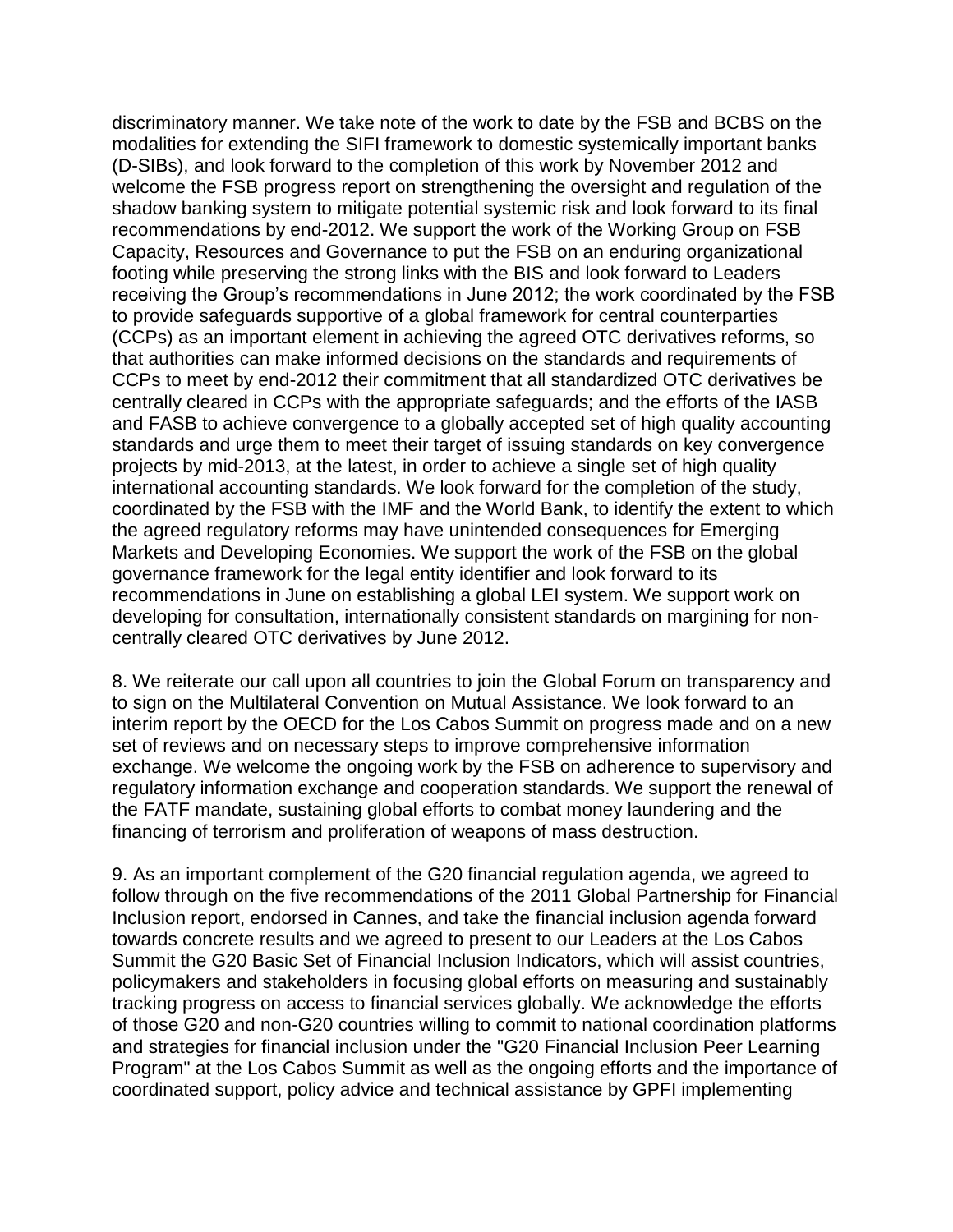discriminatory manner. We take note of the work to date by the FSB and BCBS on the modalities for extending the SIFI framework to domestic systemically important banks (D-SIBs), and look forward to the completion of this work by November 2012 and welcome the FSB progress report on strengthening the oversight and regulation of the shadow banking system to mitigate potential systemic risk and look forward to its final recommendations by end-2012. We support the work of the Working Group on FSB Capacity, Resources and Governance to put the FSB on an enduring organizational footing while preserving the strong links with the BIS and look forward to Leaders receiving the Group's recommendations in June 2012; the work coordinated by the FSB to provide safeguards supportive of a global framework for central counterparties (CCPs) as an important element in achieving the agreed OTC derivatives reforms, so that authorities can make informed decisions on the standards and requirements of CCPs to meet by end-2012 their commitment that all standardized OTC derivatives be centrally cleared in CCPs with the appropriate safeguards; and the efforts of the IASB and FASB to achieve convergence to a globally accepted set of high quality accounting standards and urge them to meet their target of issuing standards on key convergence projects by mid-2013, at the latest, in order to achieve a single set of high quality international accounting standards. We look forward for the completion of the study, coordinated by the FSB with the IMF and the World Bank, to identify the extent to which the agreed regulatory reforms may have unintended consequences for Emerging Markets and Developing Economies. We support the work of the FSB on the global governance framework for the legal entity identifier and look forward to its recommendations in June on establishing a global LEI system. We support work on developing for consultation, internationally consistent standards on margining for noncentrally cleared OTC derivatives by June 2012.

8. We reiterate our call upon all countries to join the Global Forum on transparency and to sign on the Multilateral Convention on Mutual Assistance. We look forward to an interim report by the OECD for the Los Cabos Summit on progress made and on a new set of reviews and on necessary steps to improve comprehensive information exchange. We welcome the ongoing work by the FSB on adherence to supervisory and regulatory information exchange and cooperation standards. We support the renewal of the FATF mandate, sustaining global efforts to combat money laundering and the financing of terrorism and proliferation of weapons of mass destruction.

9. As an important complement of the G20 financial regulation agenda, we agreed to follow through on the five recommendations of the 2011 Global Partnership for Financial Inclusion report, endorsed in Cannes, and take the financial inclusion agenda forward towards concrete results and we agreed to present to our Leaders at the Los Cabos Summit the G20 Basic Set of Financial Inclusion Indicators, which will assist countries, policymakers and stakeholders in focusing global efforts on measuring and sustainably tracking progress on access to financial services globally. We acknowledge the efforts of those G20 and non-G20 countries willing to commit to national coordination platforms and strategies for financial inclusion under the "G20 Financial Inclusion Peer Learning Program" at the Los Cabos Summit as well as the ongoing efforts and the importance of coordinated support, policy advice and technical assistance by GPFI implementing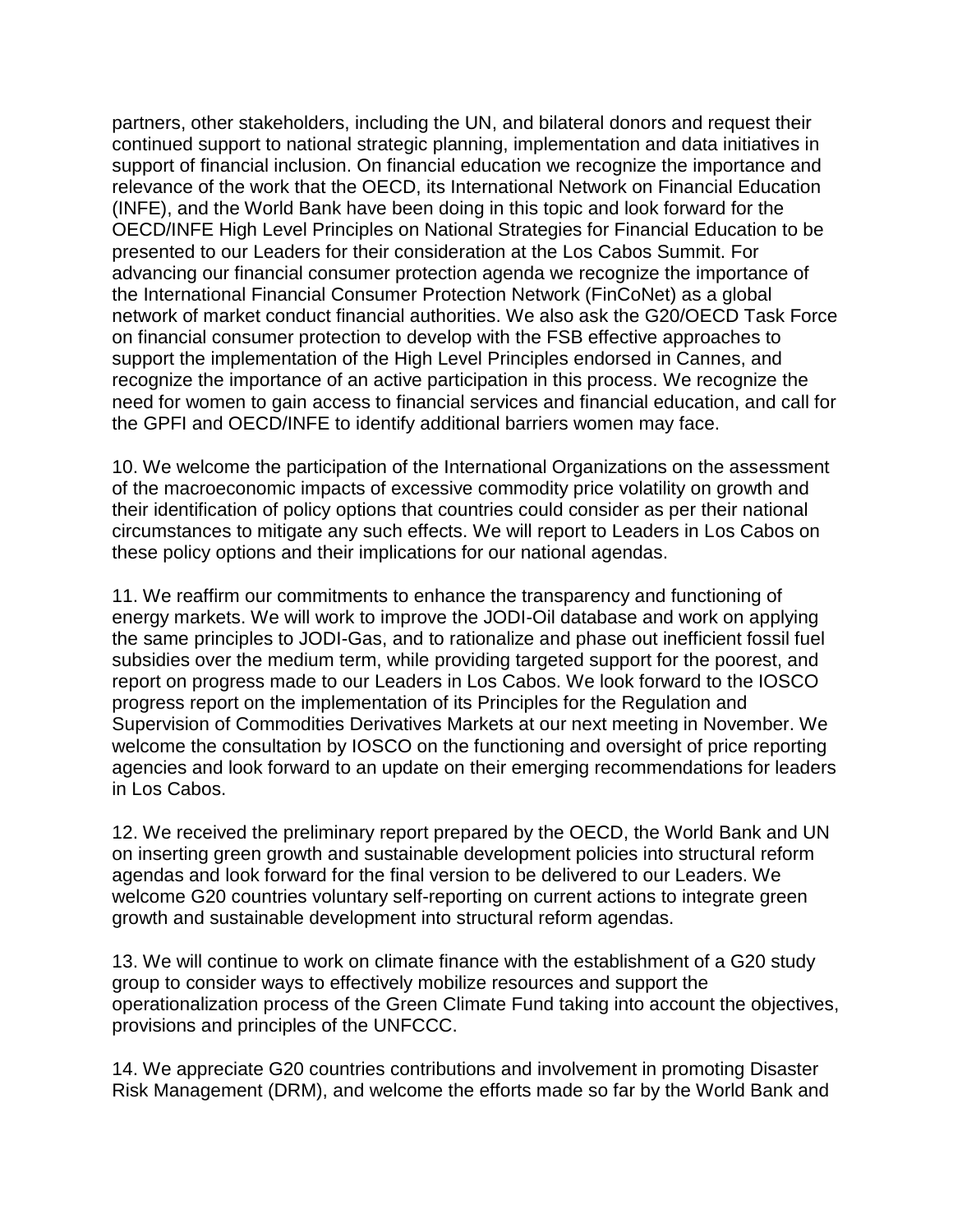partners, other stakeholders, including the UN, and bilateral donors and request their continued support to national strategic planning, implementation and data initiatives in support of financial inclusion. On financial education we recognize the importance and relevance of the work that the OECD, its International Network on Financial Education (INFE), and the World Bank have been doing in this topic and look forward for the OECD/INFE High Level Principles on National Strategies for Financial Education to be presented to our Leaders for their consideration at the Los Cabos Summit. For advancing our financial consumer protection agenda we recognize the importance of the International Financial Consumer Protection Network (FinCoNet) as a global network of market conduct financial authorities. We also ask the G20/OECD Task Force on financial consumer protection to develop with the FSB effective approaches to support the implementation of the High Level Principles endorsed in Cannes, and recognize the importance of an active participation in this process. We recognize the need for women to gain access to financial services and financial education, and call for the GPFI and OECD/INFE to identify additional barriers women may face.

10. We welcome the participation of the International Organizations on the assessment of the macroeconomic impacts of excessive commodity price volatility on growth and their identification of policy options that countries could consider as per their national circumstances to mitigate any such effects. We will report to Leaders in Los Cabos on these policy options and their implications for our national agendas.

11. We reaffirm our commitments to enhance the transparency and functioning of energy markets. We will work to improve the JODI-Oil database and work on applying the same principles to JODI-Gas, and to rationalize and phase out inefficient fossil fuel subsidies over the medium term, while providing targeted support for the poorest, and report on progress made to our Leaders in Los Cabos. We look forward to the IOSCO progress report on the implementation of its Principles for the Regulation and Supervision of Commodities Derivatives Markets at our next meeting in November. We welcome the consultation by IOSCO on the functioning and oversight of price reporting agencies and look forward to an update on their emerging recommendations for leaders in Los Cabos.

12. We received the preliminary report prepared by the OECD, the World Bank and UN on inserting green growth and sustainable development policies into structural reform agendas and look forward for the final version to be delivered to our Leaders. We welcome G20 countries voluntary self-reporting on current actions to integrate green growth and sustainable development into structural reform agendas.

13. We will continue to work on climate finance with the establishment of a G20 study group to consider ways to effectively mobilize resources and support the operationalization process of the Green Climate Fund taking into account the objectives, provisions and principles of the UNFCCC.

14. We appreciate G20 countries contributions and involvement in promoting Disaster Risk Management (DRM), and welcome the efforts made so far by the World Bank and